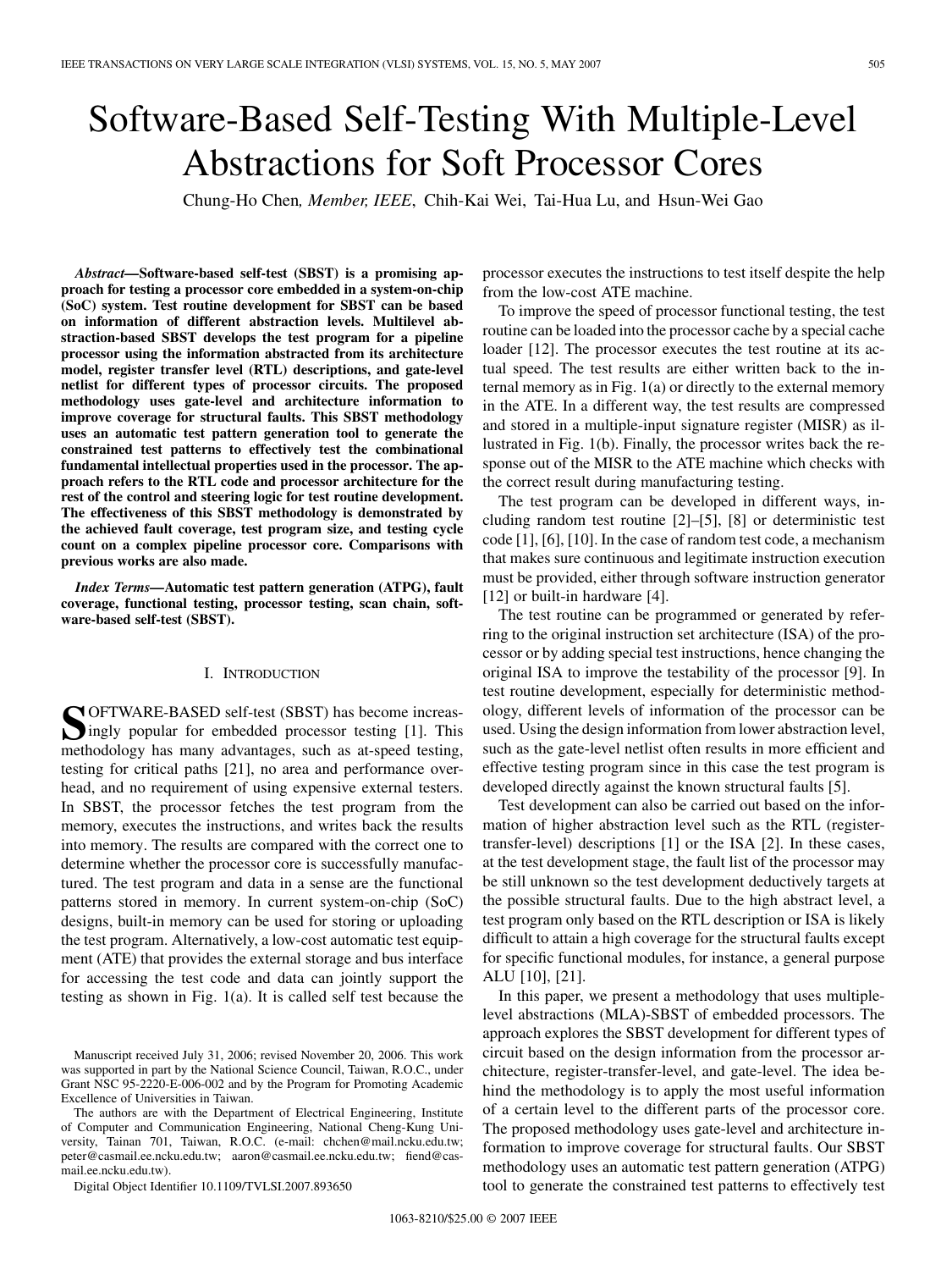# Software-Based Self-Testing With Multiple-Level Abstractions for Soft Processor Cores

Chung-Ho Chen*, Member, IEEE*, Chih-Kai Wei, Tai-Hua Lu, and Hsun-Wei Gao

*Abstract—***Software-based self-test (SBST) is a promising approach for testing a processor core embedded in a system-on-chip (SoC) system. Test routine development for SBST can be based on information of different abstraction levels. Multilevel abstraction-based SBST develops the test program for a pipeline processor using the information abstracted from its architecture model, register transfer level (RTL) descriptions, and gate-level netlist for different types of processor circuits. The proposed methodology uses gate-level and architecture information to improve coverage for structural faults. This SBST methodology uses an automatic test pattern generation tool to generate the constrained test patterns to effectively test the combinational fundamental intellectual properties used in the processor. The approach refers to the RTL code and processor architecture for the rest of the control and steering logic for test routine development. The effectiveness of this SBST methodology is demonstrated by the achieved fault coverage, test program size, and testing cycle count on a complex pipeline processor core. Comparisons with previous works are also made.**

*Index Terms—***Automatic test pattern generation (ATPG), fault coverage, functional testing, processor testing, scan chain, software-based self-test (SBST).**

## I. INTRODUCTION

**S**OFTWARE-BASED self-test (SBST) has become increas-<br>ingly popular for embedded processor testing [1]. This methodology has many advantages, such as at-speed testing, testing for critical paths [21], no area and performance overhead, and no requirement of using expensive external testers. In SBST, the processor fetches the test program from the memory, executes the instructions, and writes back the results into memory. The results are compared with the correct one to determine whether the processor core is successfully manufactured. The test program and data in a sense are the functional patterns stored in memory. In current system-on-chip (SoC) designs, built-in memory can be used for storing or uploading the test program. Alternatively, a low-cost automatic test equipment (ATE) that provides the external storage and bus interface for accessing the test code and data can jointly support the testing as shown in Fig. 1(a). It is called self test because the

Digital Object Identifier 10.1109/TVLSI.2007.893650

processor executes the instructions to test itself despite the help from the low-cost ATE machine.

To improve the speed of processor functional testing, the test routine can be loaded into the processor cache by a special cache loader [12]. The processor executes the test routine at its actual speed. The test results are either written back to the internal memory as in Fig. 1(a) or directly to the external memory in the ATE. In a different way, the test results are compressed and stored in a multiple-input signature register (MISR) as illustrated in Fig. 1(b). Finally, the processor writes back the response out of the MISR to the ATE machine which checks with the correct result during manufacturing testing.

The test program can be developed in different ways, including random test routine [2]–[5], [8] or deterministic test code [1], [6], [10]. In the case of random test code, a mechanism that makes sure continuous and legitimate instruction execution must be provided, either through software instruction generator [12] or built-in hardware [4].

The test routine can be programmed or generated by referring to the original instruction set architecture (ISA) of the processor or by adding special test instructions, hence changing the original ISA to improve the testability of the processor [9]. In test routine development, especially for deterministic methodology, different levels of information of the processor can be used. Using the design information from lower abstraction level, such as the gate-level netlist often results in more efficient and effective testing program since in this case the test program is developed directly against the known structural faults [5].

Test development can also be carried out based on the information of higher abstraction level such as the RTL (registertransfer-level) descriptions [1] or the ISA [2]. In these cases, at the test development stage, the fault list of the processor may be still unknown so the test development deductively targets at the possible structural faults. Due to the high abstract level, a test program only based on the RTL description or ISA is likely difficult to attain a high coverage for the structural faults except for specific functional modules, for instance, a general purpose ALU [10], [21].

In this paper, we present a methodology that uses multiplelevel abstractions (MLA)-SBST of embedded processors. The approach explores the SBST development for different types of circuit based on the design information from the processor architecture, register-transfer-level, and gate-level. The idea behind the methodology is to apply the most useful information of a certain level to the different parts of the processor core. The proposed methodology uses gate-level and architecture information to improve coverage for structural faults. Our SBST methodology uses an automatic test pattern generation (ATPG) tool to generate the constrained test patterns to effectively test

Manuscript received July 31, 2006; revised November 20, 2006. This work was supported in part by the National Science Council, Taiwan, R.O.C., under Grant NSC 95-2220-E-006-002 and by the Program for Promoting Academic Excellence of Universities in Taiwan.

The authors are with the Department of Electrical Engineering, Institute of Computer and Communication Engineering, National Cheng-Kung University, Tainan 701, Taiwan, R.O.C. (e-mail: chchen@mail.ncku.edu.tw; peter@casmail.ee.ncku.edu.tw; aaron@casmail.ee.ncku.edu.tw; fiend@casmail.ee.ncku.edu.tw).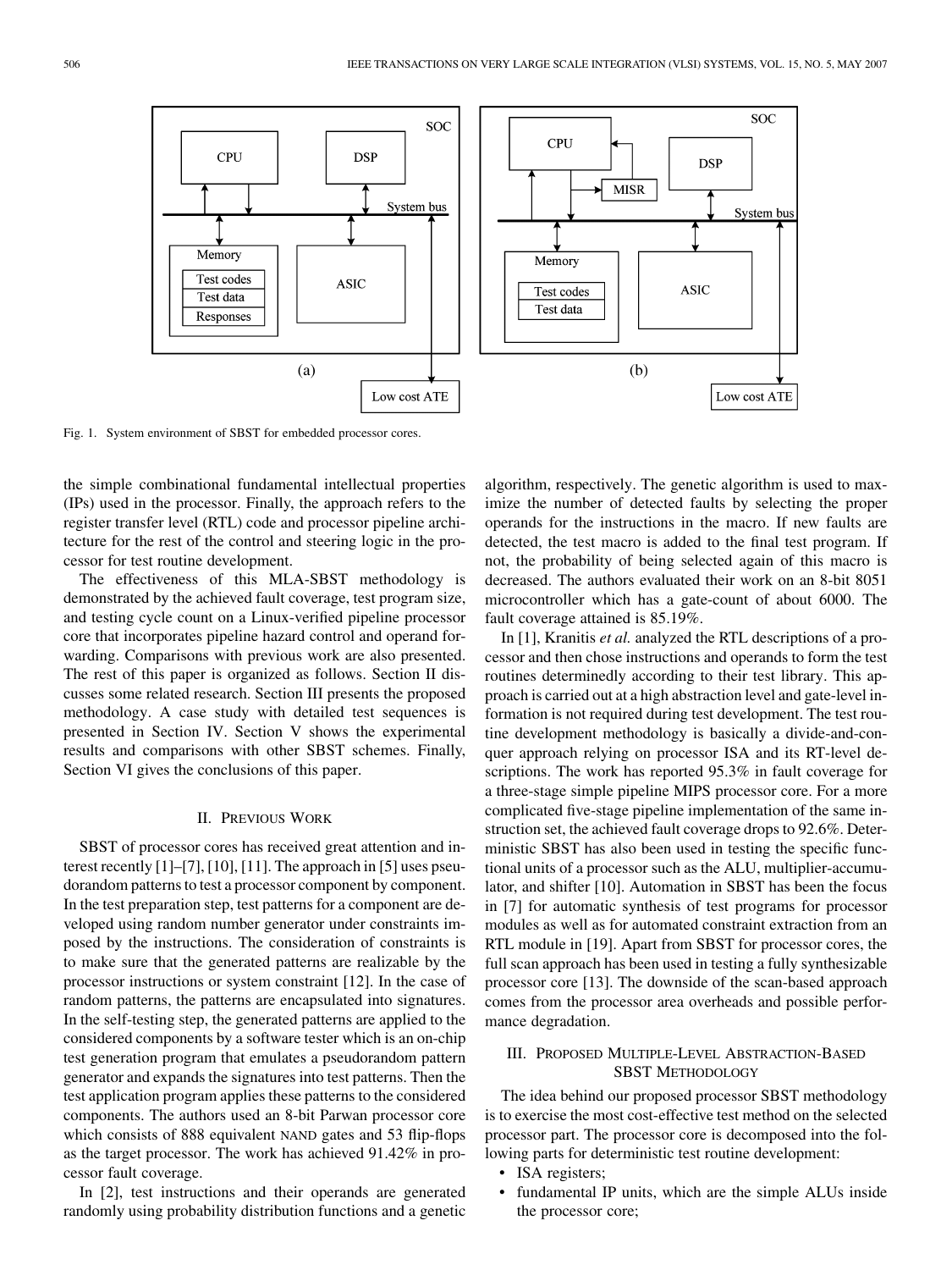

Fig. 1. System environment of SBST for embedded processor cores.

the simple combinational fundamental intellectual properties (IPs) used in the processor. Finally, the approach refers to the register transfer level (RTL) code and processor pipeline architecture for the rest of the control and steering logic in the processor for test routine development.

The effectiveness of this MLA-SBST methodology is demonstrated by the achieved fault coverage, test program size, and testing cycle count on a Linux-verified pipeline processor core that incorporates pipeline hazard control and operand forwarding. Comparisons with previous work are also presented. The rest of this paper is organized as follows. Section II discusses some related research. Section III presents the proposed methodology. A case study with detailed test sequences is presented in Section IV. Section V shows the experimental results and comparisons with other SBST schemes. Finally, Section VI gives the conclusions of this paper.

## II. PREVIOUS WORK

SBST of processor cores has received great attention and interest recently [1]–[7], [10], [11]. The approach in [5] uses pseudorandom patterns to test a processor component by component. In the test preparation step, test patterns for a component are developed using random number generator under constraints imposed by the instructions. The consideration of constraints is to make sure that the generated patterns are realizable by the processor instructions or system constraint [12]. In the case of random patterns, the patterns are encapsulated into signatures. In the self-testing step, the generated patterns are applied to the considered components by a software tester which is an on-chip test generation program that emulates a pseudorandom pattern generator and expands the signatures into test patterns. Then the test application program applies these patterns to the considered components. The authors used an 8-bit Parwan processor core which consists of 888 equivalent NAND gates and 53 flip-flops as the target processor. The work has achieved 91.42% in processor fault coverage.

In [2], test instructions and their operands are generated randomly using probability distribution functions and a genetic

algorithm, respectively. The genetic algorithm is used to maximize the number of detected faults by selecting the proper operands for the instructions in the macro. If new faults are detected, the test macro is added to the final test program. If not, the probability of being selected again of this macro is decreased. The authors evaluated their work on an 8-bit 8051 microcontroller which has a gate-count of about 6000. The fault coverage attained is 85.19%.

In [1], Kranitis *et al.* analyzed the RTL descriptions of a processor and then chose instructions and operands to form the test routines determinedly according to their test library. This approach is carried out at a high abstraction level and gate-level information is not required during test development. The test routine development methodology is basically a divide-and-conquer approach relying on processor ISA and its RT-level descriptions. The work has reported 95.3% in fault coverage for a three-stage simple pipeline MIPS processor core. For a more complicated five-stage pipeline implementation of the same instruction set, the achieved fault coverage drops to 92.6%. Deterministic SBST has also been used in testing the specific functional units of a processor such as the ALU, multiplier-accumulator, and shifter [10]. Automation in SBST has been the focus in [7] for automatic synthesis of test programs for processor modules as well as for automated constraint extraction from an RTL module in [19]. Apart from SBST for processor cores, the full scan approach has been used in testing a fully synthesizable processor core [13]. The downside of the scan-based approach comes from the processor area overheads and possible performance degradation.

# III. PROPOSED MULTIPLE-LEVEL ABSTRACTION-BASED SBST METHODOLOGY

The idea behind our proposed processor SBST methodology is to exercise the most cost-effective test method on the selected processor part. The processor core is decomposed into the following parts for deterministic test routine development:

- ISA registers;
- fundamental IP units, which are the simple ALUs inside the processor core;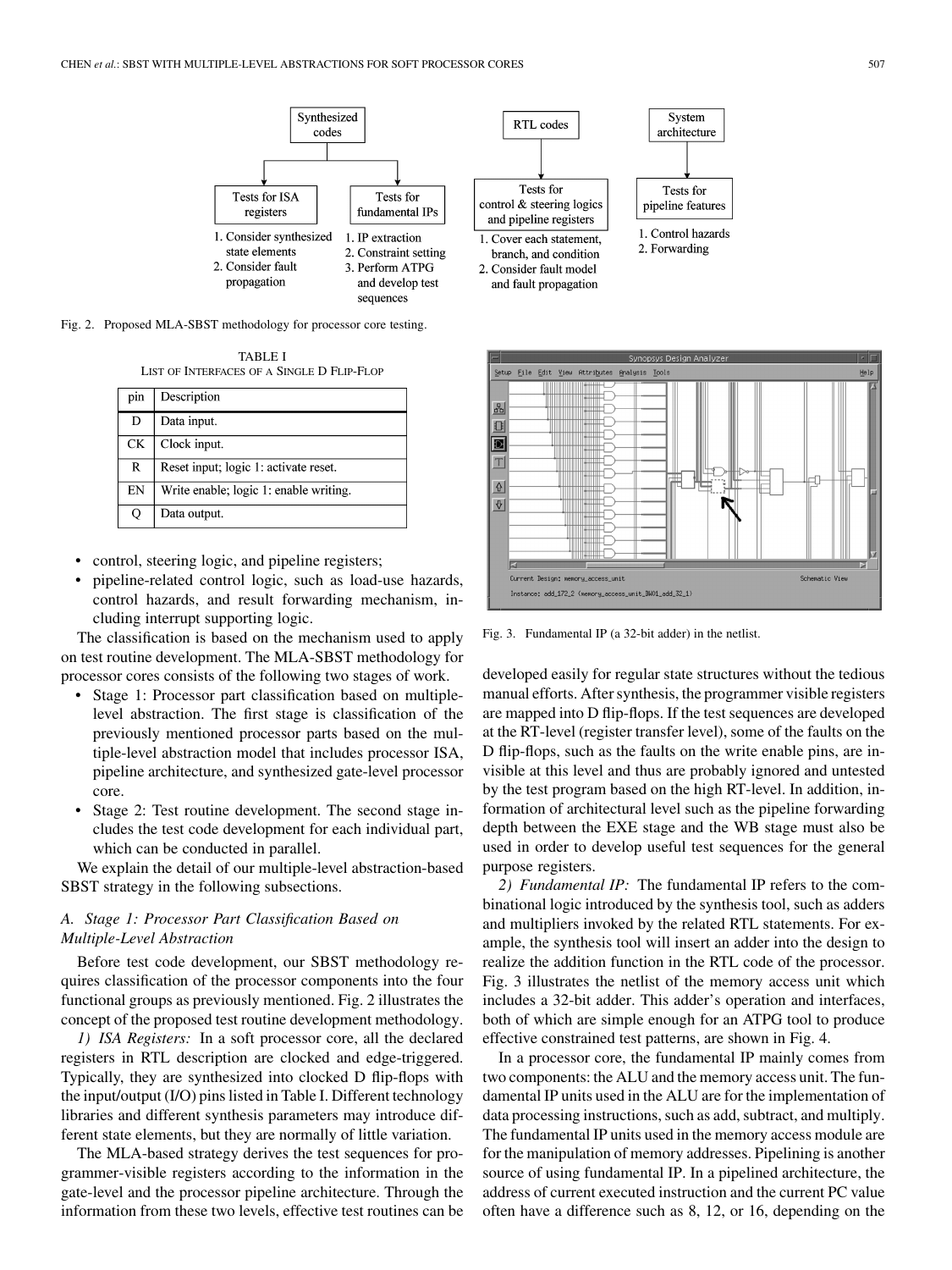

Fig. 2. Proposed MLA-SBST methodology for processor core testing.

TABLE I LIST OF INTERFACES OF A SINGLE D FLIP-FLOP

| pin | Description                            |
|-----|----------------------------------------|
| D   | Data input.                            |
| СK  | Clock input.                           |
| R   | Reset input; logic 1: activate reset.  |
| EN  | Write enable; logic 1: enable writing. |
| О   | Data output.                           |

- control, steering logic, and pipeline registers;
- pipeline-related control logic, such as load-use hazards, control hazards, and result forwarding mechanism, including interrupt supporting logic.

The classification is based on the mechanism used to apply on test routine development. The MLA-SBST methodology for processor cores consists of the following two stages of work.

- Stage 1: Processor part classification based on multiplelevel abstraction. The first stage is classification of the previously mentioned processor parts based on the multiple-level abstraction model that includes processor ISA, pipeline architecture, and synthesized gate-level processor core.
- Stage 2: Test routine development. The second stage includes the test code development for each individual part, which can be conducted in parallel.

We explain the detail of our multiple-level abstraction-based SBST strategy in the following subsections.

# *A. Stage 1: Processor Part Classification Based on Multiple-Level Abstraction*

Before test code development, our SBST methodology requires classification of the processor components into the four functional groups as previously mentioned. Fig. 2 illustrates the concept of the proposed test routine development methodology.

*1) ISA Registers:* In a soft processor core, all the declared registers in RTL description are clocked and edge-triggered. Typically, they are synthesized into clocked D flip-flops with the input/output (I/O) pins listed in Table I. Different technology libraries and different synthesis parameters may introduce different state elements, but they are normally of little variation.

The MLA-based strategy derives the test sequences for programmer-visible registers according to the information in the gate-level and the processor pipeline architecture. Through the information from these two levels, effective test routines can be



and fault propagation



Fig. 3. Fundamental IP (a 32-bit adder) in the netlist.

developed easily for regular state structures without the tedious manual efforts. After synthesis, the programmer visible registers are mapped into D flip-flops. If the test sequences are developed at the RT-level (register transfer level), some of the faults on the D flip-flops, such as the faults on the write enable pins, are invisible at this level and thus are probably ignored and untested by the test program based on the high RT-level. In addition, information of architectural level such as the pipeline forwarding depth between the EXE stage and the WB stage must also be used in order to develop useful test sequences for the general purpose registers.

*2) Fundamental IP:* The fundamental IP refers to the combinational logic introduced by the synthesis tool, such as adders and multipliers invoked by the related RTL statements. For example, the synthesis tool will insert an adder into the design to realize the addition function in the RTL code of the processor. Fig. 3 illustrates the netlist of the memory access unit which includes a 32-bit adder. This adder's operation and interfaces, both of which are simple enough for an ATPG tool to produce effective constrained test patterns, are shown in Fig. 4.

In a processor core, the fundamental IP mainly comes from two components: the ALU and the memory access unit. The fundamental IP units used in the ALU are for the implementation of data processing instructions, such as add, subtract, and multiply. The fundamental IP units used in the memory access module are for the manipulation of memory addresses. Pipelining is another source of using fundamental IP. In a pipelined architecture, the address of current executed instruction and the current PC value often have a difference such as 8, 12, or 16, depending on the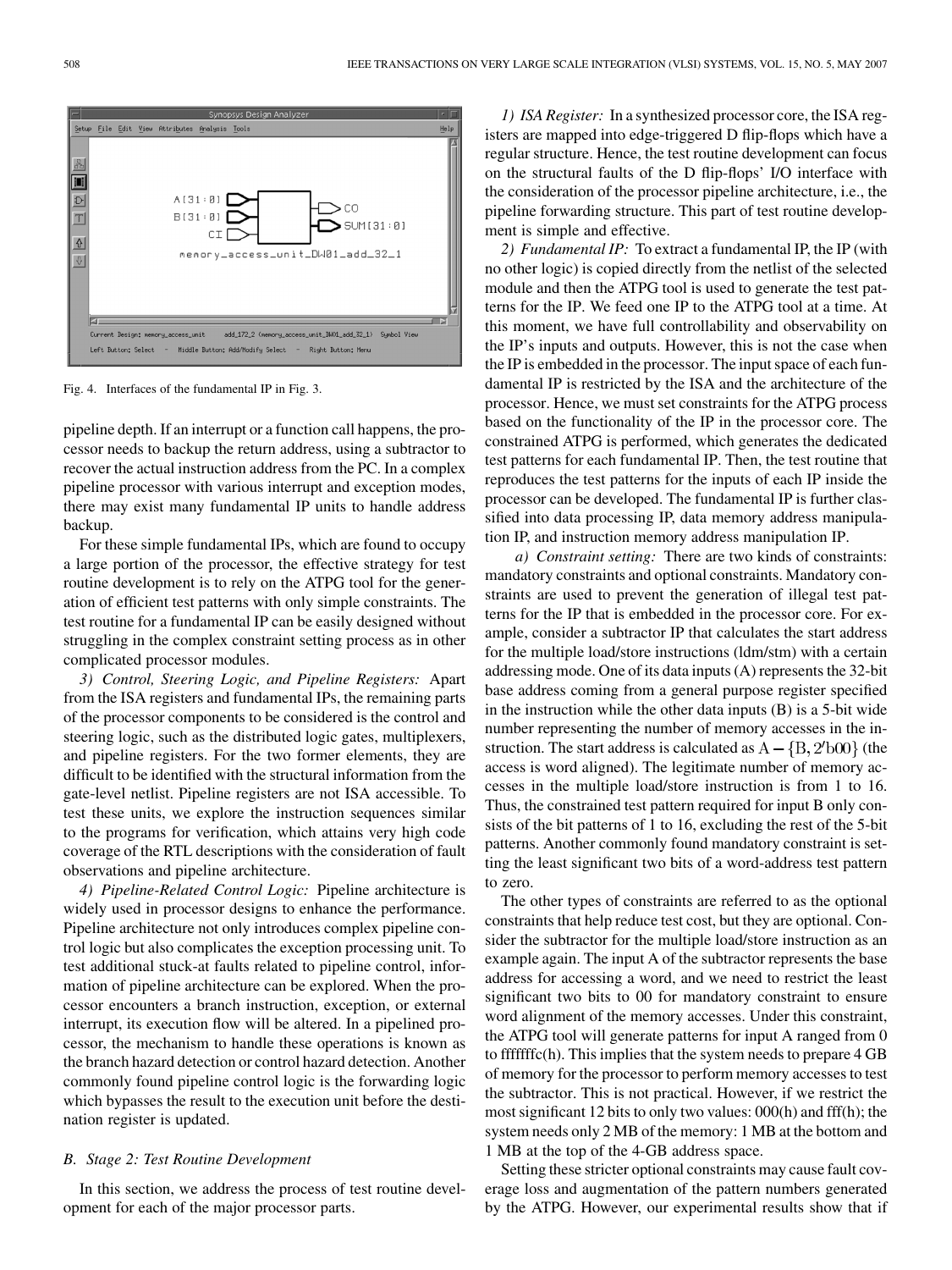

Fig. 4. Interfaces of the fundamental IP in Fig. 3.

pipeline depth. If an interrupt or a function call happens, the processor needs to backup the return address, using a subtractor to recover the actual instruction address from the PC. In a complex pipeline processor with various interrupt and exception modes, there may exist many fundamental IP units to handle address backup.

For these simple fundamental IPs, which are found to occupy a large portion of the processor, the effective strategy for test routine development is to rely on the ATPG tool for the generation of efficient test patterns with only simple constraints. The test routine for a fundamental IP can be easily designed without struggling in the complex constraint setting process as in other complicated processor modules.

*3) Control, Steering Logic, and Pipeline Registers:* Apart from the ISA registers and fundamental IPs, the remaining parts of the processor components to be considered is the control and steering logic, such as the distributed logic gates, multiplexers, and pipeline registers. For the two former elements, they are difficult to be identified with the structural information from the gate-level netlist. Pipeline registers are not ISA accessible. To test these units, we explore the instruction sequences similar to the programs for verification, which attains very high code coverage of the RTL descriptions with the consideration of fault observations and pipeline architecture.

*4) Pipeline-Related Control Logic:* Pipeline architecture is widely used in processor designs to enhance the performance. Pipeline architecture not only introduces complex pipeline control logic but also complicates the exception processing unit. To test additional stuck-at faults related to pipeline control, information of pipeline architecture can be explored. When the processor encounters a branch instruction, exception, or external interrupt, its execution flow will be altered. In a pipelined processor, the mechanism to handle these operations is known as the branch hazard detection or control hazard detection. Another commonly found pipeline control logic is the forwarding logic which bypasses the result to the execution unit before the destination register is updated.

## *B. Stage 2: Test Routine Development*

In this section, we address the process of test routine development for each of the major processor parts.

*1) ISA Register:* In a synthesized processor core, the ISA registers are mapped into edge-triggered D flip-flops which have a regular structure. Hence, the test routine development can focus on the structural faults of the D flip-flops' I/O interface with the consideration of the processor pipeline architecture, i.e., the pipeline forwarding structure. This part of test routine development is simple and effective.

*2) Fundamental IP:* To extract a fundamental IP, the IP (with no other logic) is copied directly from the netlist of the selected module and then the ATPG tool is used to generate the test patterns for the IP. We feed one IP to the ATPG tool at a time. At this moment, we have full controllability and observability on the IP's inputs and outputs. However, this is not the case when the IP is embedded in the processor. The input space of each fundamental IP is restricted by the ISA and the architecture of the processor. Hence, we must set constraints for the ATPG process based on the functionality of the IP in the processor core. The constrained ATPG is performed, which generates the dedicated test patterns for each fundamental IP. Then, the test routine that reproduces the test patterns for the inputs of each IP inside the processor can be developed. The fundamental IP is further classified into data processing IP, data memory address manipulation IP, and instruction memory address manipulation IP.

*a) Constraint setting:* There are two kinds of constraints: mandatory constraints and optional constraints. Mandatory constraints are used to prevent the generation of illegal test patterns for the IP that is embedded in the processor core. For example, consider a subtractor IP that calculates the start address for the multiple load/store instructions (ldm/stm) with a certain addressing mode. One of its data inputs (A) represents the 32-bit base address coming from a general purpose register specified in the instruction while the other data inputs (B) is a 5-bit wide number representing the number of memory accesses in the instruction. The start address is calculated as  $A - {B, 2'b00}$  (the access is word aligned). The legitimate number of memory accesses in the multiple load/store instruction is from 1 to 16. Thus, the constrained test pattern required for input B only consists of the bit patterns of 1 to 16, excluding the rest of the 5-bit patterns. Another commonly found mandatory constraint is setting the least significant two bits of a word-address test pattern to zero.

The other types of constraints are referred to as the optional constraints that help reduce test cost, but they are optional. Consider the subtractor for the multiple load/store instruction as an example again. The input A of the subtractor represents the base address for accessing a word, and we need to restrict the least significant two bits to 00 for mandatory constraint to ensure word alignment of the memory accesses. Under this constraint, the ATPG tool will generate patterns for input A ranged from 0 to fffffffc(h). This implies that the system needs to prepare 4 GB of memory for the processor to perform memory accesses to test the subtractor. This is not practical. However, if we restrict the most significant 12 bits to only two values: 000(h) and fff(h); the system needs only 2 MB of the memory: 1 MB at the bottom and 1 MB at the top of the 4-GB address space.

Setting these stricter optional constraints may cause fault coverage loss and augmentation of the pattern numbers generated by the ATPG. However, our experimental results show that if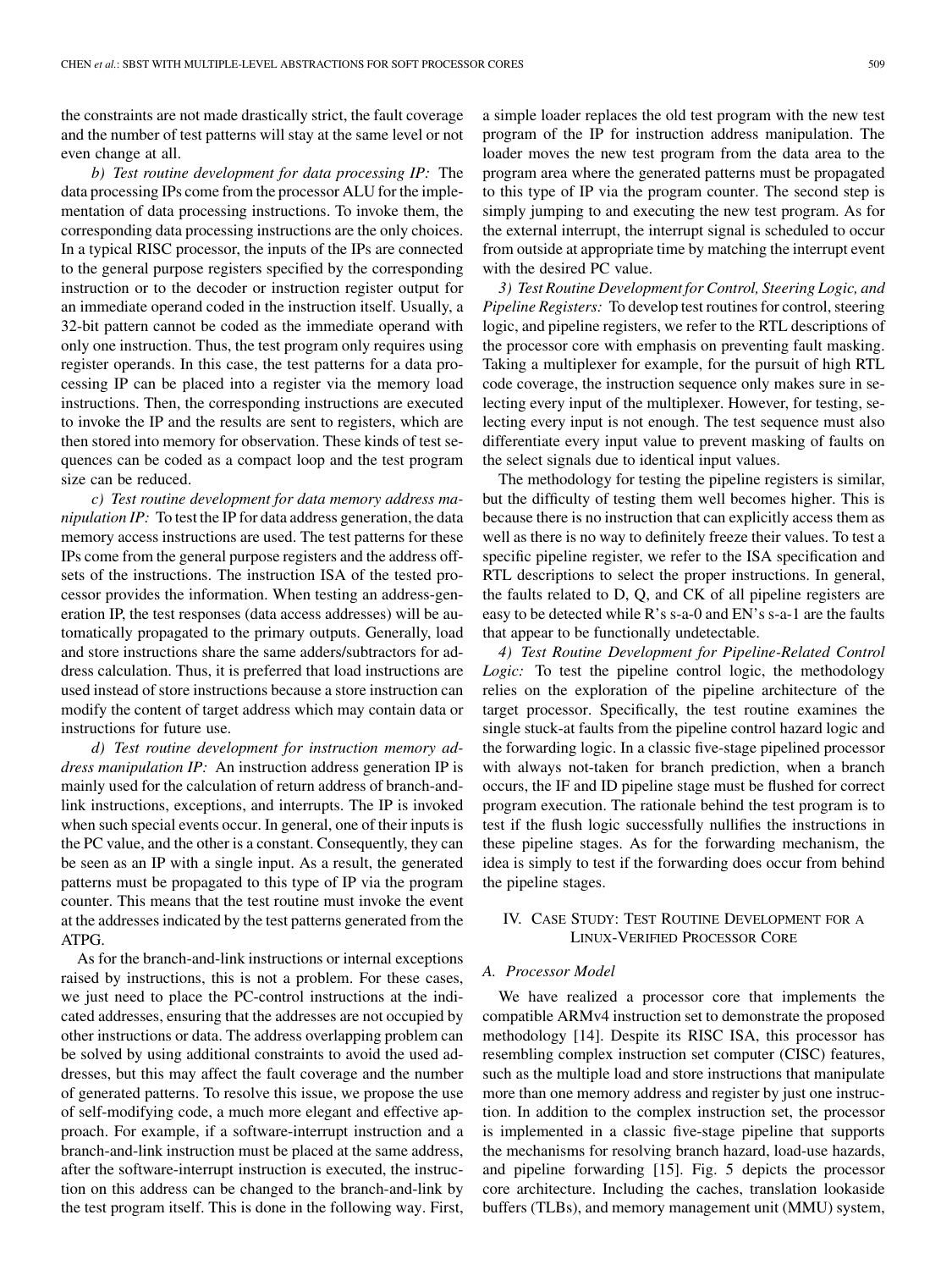the constraints are not made drastically strict, the fault coverage and the number of test patterns will stay at the same level or not even change at all.

*b) Test routine development for data processing IP:* The data processing IPs come from the processor ALU for the implementation of data processing instructions. To invoke them, the corresponding data processing instructions are the only choices. In a typical RISC processor, the inputs of the IPs are connected to the general purpose registers specified by the corresponding instruction or to the decoder or instruction register output for an immediate operand coded in the instruction itself. Usually, a 32-bit pattern cannot be coded as the immediate operand with only one instruction. Thus, the test program only requires using register operands. In this case, the test patterns for a data processing IP can be placed into a register via the memory load instructions. Then, the corresponding instructions are executed to invoke the IP and the results are sent to registers, which are then stored into memory for observation. These kinds of test sequences can be coded as a compact loop and the test program size can be reduced.

*c) Test routine development for data memory address manipulation IP:* To test the IP for data address generation, the data memory access instructions are used. The test patterns for these IPs come from the general purpose registers and the address offsets of the instructions. The instruction ISA of the tested processor provides the information. When testing an address-generation IP, the test responses (data access addresses) will be automatically propagated to the primary outputs. Generally, load and store instructions share the same adders/subtractors for address calculation. Thus, it is preferred that load instructions are used instead of store instructions because a store instruction can modify the content of target address which may contain data or instructions for future use.

*d) Test routine development for instruction memory address manipulation IP:* An instruction address generation IP is mainly used for the calculation of return address of branch-andlink instructions, exceptions, and interrupts. The IP is invoked when such special events occur. In general, one of their inputs is the PC value, and the other is a constant. Consequently, they can be seen as an IP with a single input. As a result, the generated patterns must be propagated to this type of IP via the program counter. This means that the test routine must invoke the event at the addresses indicated by the test patterns generated from the ATPG.

As for the branch-and-link instructions or internal exceptions raised by instructions, this is not a problem. For these cases, we just need to place the PC-control instructions at the indicated addresses, ensuring that the addresses are not occupied by other instructions or data. The address overlapping problem can be solved by using additional constraints to avoid the used addresses, but this may affect the fault coverage and the number of generated patterns. To resolve this issue, we propose the use of self-modifying code, a much more elegant and effective approach. For example, if a software-interrupt instruction and a branch-and-link instruction must be placed at the same address, after the software-interrupt instruction is executed, the instruction on this address can be changed to the branch-and-link by the test program itself. This is done in the following way. First,

a simple loader replaces the old test program with the new test program of the IP for instruction address manipulation. The loader moves the new test program from the data area to the program area where the generated patterns must be propagated to this type of IP via the program counter. The second step is simply jumping to and executing the new test program. As for the external interrupt, the interrupt signal is scheduled to occur from outside at appropriate time by matching the interrupt event with the desired PC value.

*3) Test Routine Development for Control, Steering Logic, and Pipeline Registers:* To develop test routines for control, steering logic, and pipeline registers, we refer to the RTL descriptions of the processor core with emphasis on preventing fault masking. Taking a multiplexer for example, for the pursuit of high RTL code coverage, the instruction sequence only makes sure in selecting every input of the multiplexer. However, for testing, selecting every input is not enough. The test sequence must also differentiate every input value to prevent masking of faults on the select signals due to identical input values.

The methodology for testing the pipeline registers is similar, but the difficulty of testing them well becomes higher. This is because there is no instruction that can explicitly access them as well as there is no way to definitely freeze their values. To test a specific pipeline register, we refer to the ISA specification and RTL descriptions to select the proper instructions. In general, the faults related to D, Q, and CK of all pipeline registers are easy to be detected while R's s-a-0 and EN's s-a-1 are the faults that appear to be functionally undetectable.

*4) Test Routine Development for Pipeline-Related Control Logic:* To test the pipeline control logic, the methodology relies on the exploration of the pipeline architecture of the target processor. Specifically, the test routine examines the single stuck-at faults from the pipeline control hazard logic and the forwarding logic. In a classic five-stage pipelined processor with always not-taken for branch prediction, when a branch occurs, the IF and ID pipeline stage must be flushed for correct program execution. The rationale behind the test program is to test if the flush logic successfully nullifies the instructions in these pipeline stages. As for the forwarding mechanism, the idea is simply to test if the forwarding does occur from behind the pipeline stages.

# IV. CASE STUDY: TEST ROUTINE DEVELOPMENT FOR A LINUX-VERIFIED PROCESSOR CORE

## *A. Processor Model*

We have realized a processor core that implements the compatible ARMv4 instruction set to demonstrate the proposed methodology [14]. Despite its RISC ISA, this processor has resembling complex instruction set computer (CISC) features, such as the multiple load and store instructions that manipulate more than one memory address and register by just one instruction. In addition to the complex instruction set, the processor is implemented in a classic five-stage pipeline that supports the mechanisms for resolving branch hazard, load-use hazards, and pipeline forwarding [15]. Fig. 5 depicts the processor core architecture. Including the caches, translation lookaside buffers (TLBs), and memory management unit (MMU) system,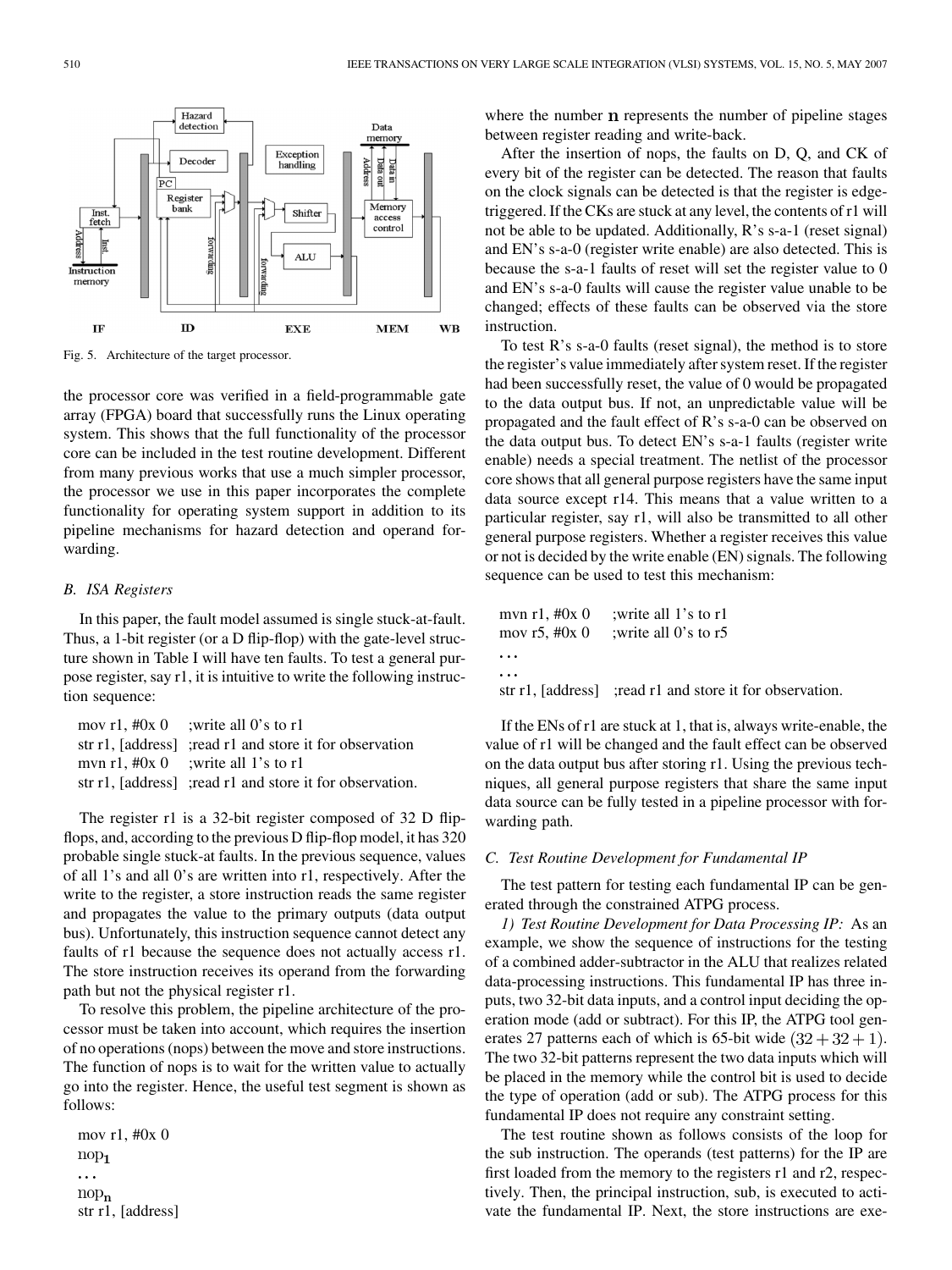Fig. 5. Architecture of the target processor.

the processor core was verified in a field-programmable gate array (FPGA) board that successfully runs the Linux operating system. This shows that the full functionality of the processor core can be included in the test routine development. Different from many previous works that use a much simpler processor, the processor we use in this paper incorporates the complete functionality for operating system support in addition to its pipeline mechanisms for hazard detection and operand forwarding.

# *B. ISA Registers*

In this paper, the fault model assumed is single stuck-at-fault. Thus, a 1-bit register (or a D flip-flop) with the gate-level structure shown in Table I will have ten faults. To test a general purpose register, say r1, it is intuitive to write the following instruction sequence:

| mov r1. $\#0x \ 0$ :write all 0's to r1                   |
|-----------------------------------------------------------|
| str r1, [address] : read r1 and store it for observation  |
| myn r1. $\#0x \ 0$ :write all 1's to r1                   |
| str r1, [address] : read r1 and store it for observation. |

The register r1 is a 32-bit register composed of 32 D flipflops, and, according to the previous D flip-flop model, it has 320 probable single stuck-at faults. In the previous sequence, values of all 1's and all 0's are written into r1, respectively. After the write to the register, a store instruction reads the same register and propagates the value to the primary outputs (data output bus). Unfortunately, this instruction sequence cannot detect any faults of r1 because the sequence does not actually access r1. The store instruction receives its operand from the forwarding path but not the physical register r1.

To resolve this problem, the pipeline architecture of the processor must be taken into account, which requires the insertion of no operations (nops) between the move and store instructions. The function of nops is to wait for the written value to actually go into the register. Hence, the useful test segment is shown as follows:

mov r1, #0x 0  $nop<sub>1</sub>$  $\ddotsc$  $\text{nop}_{\mathbf{n}}$ str r1, [address]

where the number  $n$  represents the number of pipeline stages between register reading and write-back.

After the insertion of nops, the faults on D, Q, and CK of every bit of the register can be detected. The reason that faults on the clock signals can be detected is that the register is edgetriggered. If the CKs are stuck at any level, the contents of r1 will not be able to be updated. Additionally, R's s-a-1 (reset signal) and EN's s-a-0 (register write enable) are also detected. This is because the s-a-1 faults of reset will set the register value to 0 and EN's s-a-0 faults will cause the register value unable to be changed; effects of these faults can be observed via the store instruction.

To test R's s-a-0 faults (reset signal), the method is to store the register's value immediately after system reset. If the register had been successfully reset, the value of 0 would be propagated to the data output bus. If not, an unpredictable value will be propagated and the fault effect of R's s-a-0 can be observed on the data output bus. To detect EN's s-a-1 faults (register write enable) needs a special treatment. The netlist of the processor core shows that all general purpose registers have the same input data source except r14. This means that a value written to a particular register, say r1, will also be transmitted to all other general purpose registers. Whether a register receives this value or not is decided by the write enable (EN) signals. The following sequence can be used to test this mechanism:

```
mvn r1, \#0x \ 0 ;write all 1's to r1
mov r5, \text{\#0x 0} ;write all 0's to r5
\ddotsc\ddotsc
```
str r1, [address] ;read r1 and store it for observation.

If the ENs of r1 are stuck at 1, that is, always write-enable, the value of r1 will be changed and the fault effect can be observed on the data output bus after storing r1. Using the previous techniques, all general purpose registers that share the same input data source can be fully tested in a pipeline processor with forwarding path.

## *C. Test Routine Development for Fundamental IP*

The test pattern for testing each fundamental IP can be generated through the constrained ATPG process.

*1) Test Routine Development for Data Processing IP:* As an example, we show the sequence of instructions for the testing of a combined adder-subtractor in the ALU that realizes related data-processing instructions. This fundamental IP has three inputs, two 32-bit data inputs, and a control input deciding the operation mode (add or subtract). For this IP, the ATPG tool generates 27 patterns each of which is 65-bit wide  $(32 + 32 + 1)$ . The two 32-bit patterns represent the two data inputs which will be placed in the memory while the control bit is used to decide the type of operation (add or sub). The ATPG process for this fundamental IP does not require any constraint setting.

The test routine shown as follows consists of the loop for the sub instruction. The operands (test patterns) for the IP are first loaded from the memory to the registers r1 and r2, respectively. Then, the principal instruction, sub, is executed to activate the fundamental IP. Next, the store instructions are exe-

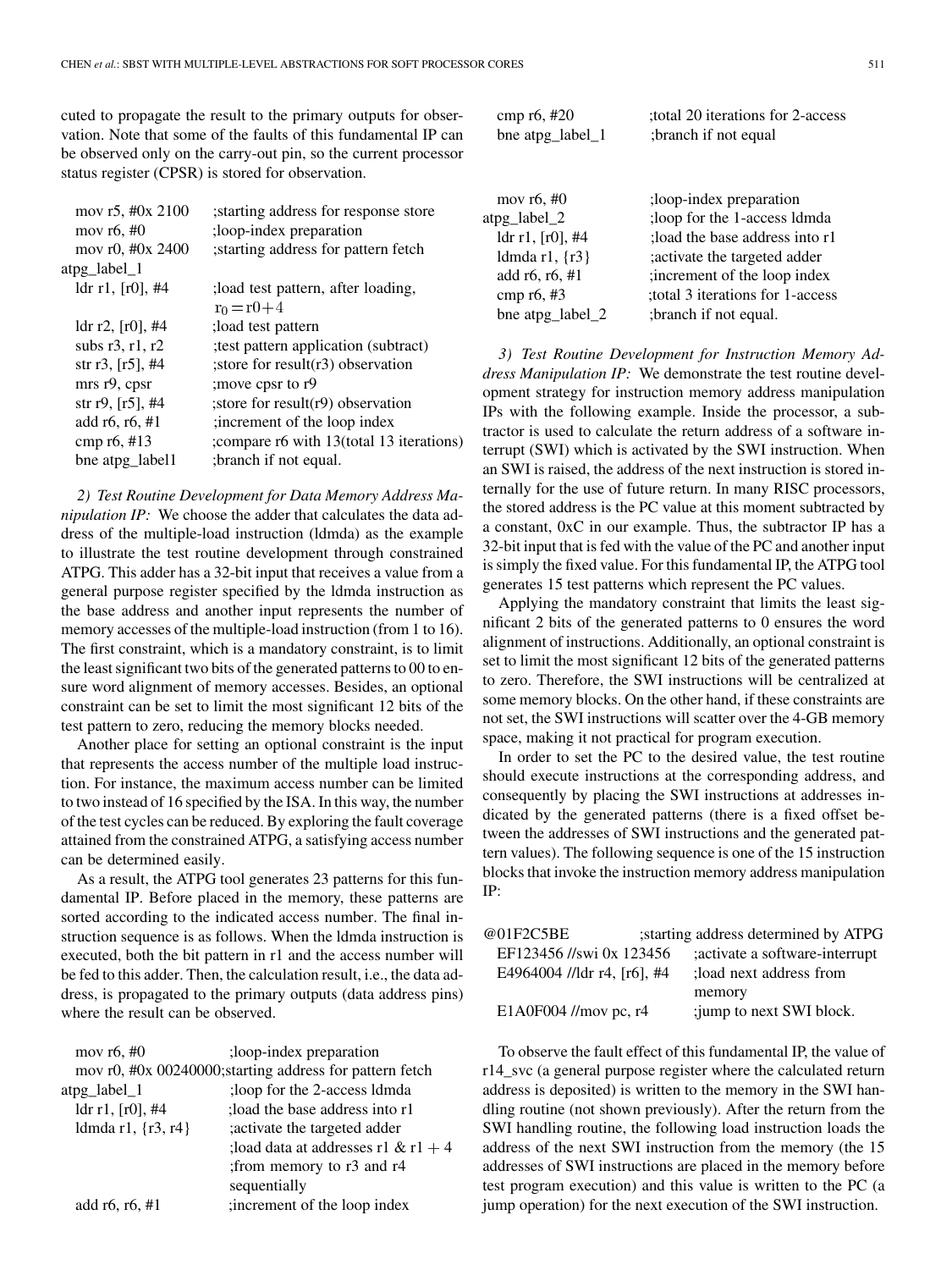cuted to propagate the result to the primary outputs for observation. Note that some of the faults of this fundamental IP can be observed only on the carry-out pin, so the current processor status register (CPSR) is stored for observation.

| mov $r5, \text{\#0x } 2100$ | ; starting address for response store    |
|-----------------------------|------------------------------------------|
| mov r $6, \#0$              | ;loop-index preparation                  |
| mov r0, #0x 2400            | starting address for pattern fetch       |
| atpg label 1                |                                          |
| ldr $r1$ , $[r0]$ , #4      | load test pattern, after loading,        |
|                             | $r_0 = r0 + 4$                           |
| ldr r2, $[r0]$ , #4         | :load test pattern                       |
| subs $r3$ , $r1$ , $r2$     | test pattern application (subtract)      |
| str r3, $[r5]$ , #4         | ; store for result( $r3$ ) observation   |
| mrs r9, cpsr                | ; move cpsr to r9                        |
| str $r9$ , $[r5]$ , #4      | : store for result( $r9$ ) observation   |
| add $r6, r6, #1$            | increment of the loop index              |
| cmp $r6, #13$               | compare r6 with 13 (total 13 iterations) |
| bne atpg label1             | :branch if not equal.                    |
|                             |                                          |

*2) Test Routine Development for Data Memory Address Manipulation IP:* We choose the adder that calculates the data address of the multiple-load instruction (ldmda) as the example to illustrate the test routine development through constrained ATPG. This adder has a 32-bit input that receives a value from a general purpose register specified by the ldmda instruction as the base address and another input represents the number of memory accesses of the multiple-load instruction (from 1 to 16). The first constraint, which is a mandatory constraint, is to limit the least significant two bits of the generated patterns to 00 to ensure word alignment of memory accesses. Besides, an optional constraint can be set to limit the most significant 12 bits of the test pattern to zero, reducing the memory blocks needed.

Another place for setting an optional constraint is the input that represents the access number of the multiple load instruction. For instance, the maximum access number can be limited to two instead of 16 specified by the ISA. In this way, the number of the test cycles can be reduced. By exploring the fault coverage attained from the constrained ATPG, a satisfying access number can be determined easily.

As a result, the ATPG tool generates 23 patterns for this fundamental IP. Before placed in the memory, these patterns are sorted according to the indicated access number. The final instruction sequence is as follows. When the ldmda instruction is executed, both the bit pattern in r1 and the access number will be fed to this adder. Then, the calculation result, i.e., the data address, is propagated to the primary outputs (data address pins) where the result can be observed.

| mov $r6, #0$           | ;loop-index preparation                                  |
|------------------------|----------------------------------------------------------|
|                        | mov r0, #0x 00240000; starting address for pattern fetch |
| $atpg\_label\_1$       | ;loop for the 2-access ldmda                             |
| ldr $r1$ , $[r0]$ , #4 | load the base address into r1                            |
| ldmda $r1, {r3, r4}$   | ; activate the targeted adder                            |
|                        | ; load data at addresses r1 & r1 + 4                     |
|                        | ; from memory to r3 and r4                               |
|                        | sequentially                                             |
| add $r6, r6, #1$       | increment of the loop index                              |
|                        |                                                          |

| cmp $r6, #20$         | total 20 iterations for 2-access |
|-----------------------|----------------------------------|
| bne atpg label 1      | ;branch if not equal             |
| mov $r6, #0$          | :loop-index preparation          |
| $atpg\_label_2$       | ;loop for the 1-access ldmda     |
| $ldr$ r1, $[r0]$ , #4 | load the base address into r1    |
| ldmda $r1, \{r3\}$    | ; activate the targeted adder    |
| add $r6, r6, #1$      | increment of the loop index      |
| cmp $r6, #3$          | total 3 iterations for 1-access: |
| bne atpg_label_2      | ;branch if not equal.            |

*3) Test Routine Development for Instruction Memory Address Manipulation IP:* We demonstrate the test routine development strategy for instruction memory address manipulation IPs with the following example. Inside the processor, a subtractor is used to calculate the return address of a software interrupt (SWI) which is activated by the SWI instruction. When an SWI is raised, the address of the next instruction is stored internally for the use of future return. In many RISC processors, the stored address is the PC value at this moment subtracted by a constant, 0xC in our example. Thus, the subtractor IP has a 32-bit input that is fed with the value of the PC and another input is simply the fixed value. For this fundamental IP, the ATPG tool generates 15 test patterns which represent the PC values.

Applying the mandatory constraint that limits the least significant 2 bits of the generated patterns to 0 ensures the word alignment of instructions. Additionally, an optional constraint is set to limit the most significant 12 bits of the generated patterns to zero. Therefore, the SWI instructions will be centralized at some memory blocks. On the other hand, if these constraints are not set, the SWI instructions will scatter over the 4-GB memory space, making it not practical for program execution.

In order to set the PC to the desired value, the test routine should execute instructions at the corresponding address, and consequently by placing the SWI instructions at addresses indicated by the generated patterns (there is a fixed offset between the addresses of SWI instructions and the generated pattern values). The following sequence is one of the 15 instruction blocks that invoke the instruction memory address manipulation IP:

| @01F2C5BE                   | ; starting address determined by ATPG |
|-----------------------------|---------------------------------------|
| EF123456 //swi 0x 123456    | ; activate a software-interrupt       |
| E4964004 //ldr r4, [r6], #4 | load next address from                |
|                             | memory                                |
| E1A0F004 //mov pc, $r4$     | :jump to next SWI block.              |

To observe the fault effect of this fundamental IP, the value of r14\_svc (a general purpose register where the calculated return address is deposited) is written to the memory in the SWI handling routine (not shown previously). After the return from the SWI handling routine, the following load instruction loads the address of the next SWI instruction from the memory (the 15 addresses of SWI instructions are placed in the memory before test program execution) and this value is written to the PC (a jump operation) for the next execution of the SWI instruction.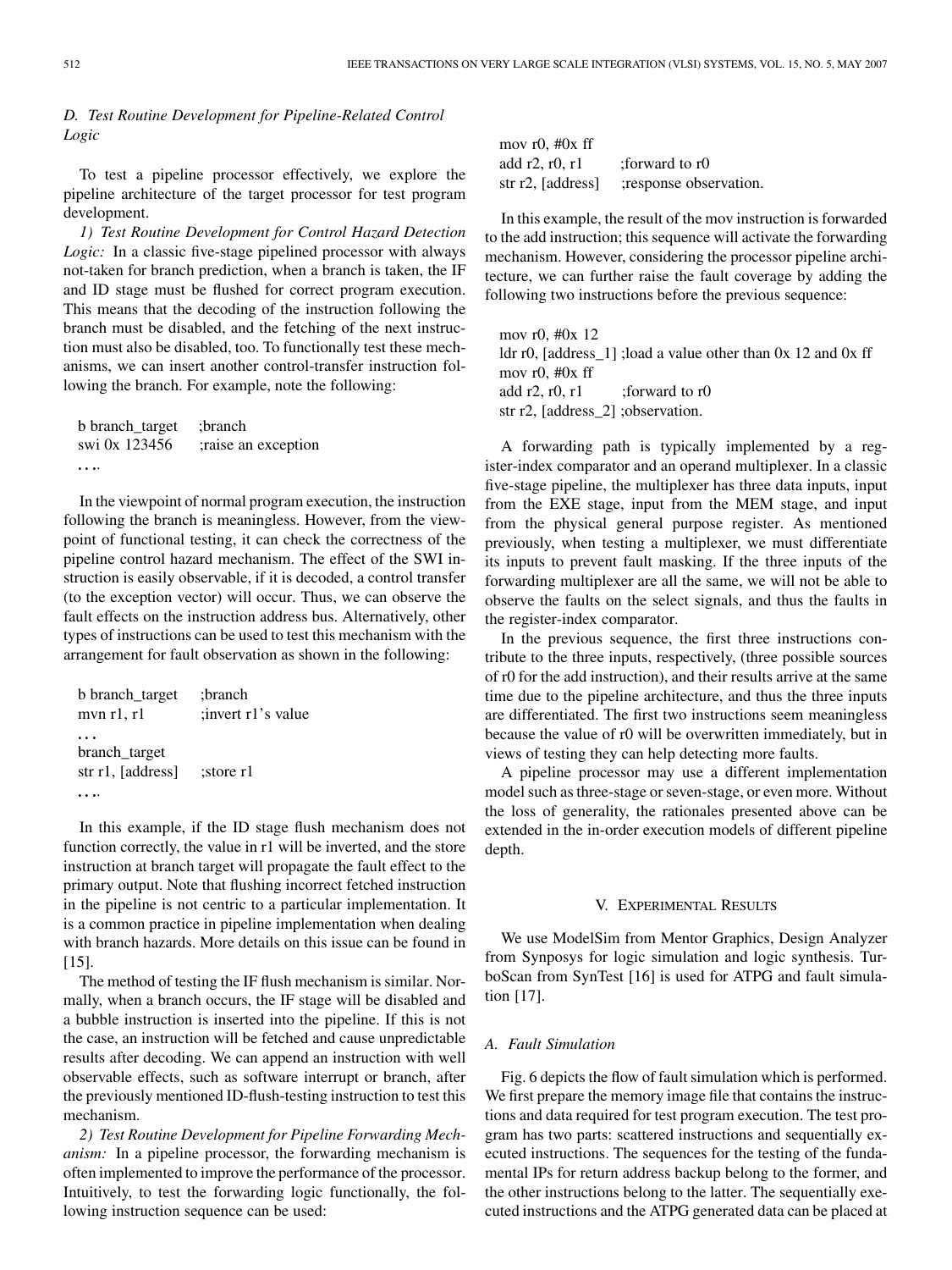# *D. Test Routine Development for Pipeline-Related Control Logic*

To test a pipeline processor effectively, we explore the pipeline architecture of the target processor for test program development.

*1) Test Routine Development for Control Hazard Detection Logic:* In a classic five-stage pipelined processor with always not-taken for branch prediction, when a branch is taken, the IF and ID stage must be flushed for correct program execution. This means that the decoding of the instruction following the branch must be disabled, and the fetching of the next instruction must also be disabled, too. To functionally test these mechanisms, we can insert another control-transfer instruction following the branch. For example, note the following:

| b branch_target ;branch |                    |
|-------------------------|--------------------|
| swi 0x 123456           | raise an exception |
| $\cdots$                |                    |

In the viewpoint of normal program execution, the instruction following the branch is meaningless. However, from the viewpoint of functional testing, it can check the correctness of the pipeline control hazard mechanism. The effect of the SWI instruction is easily observable, if it is decoded, a control transfer (to the exception vector) will occur. Thus, we can observe the fault effects on the instruction address bus. Alternatively, other types of instructions can be used to test this mechanism with the arrangement for fault observation as shown in the following:

| b branch target<br>$mvn$ $r1$ , $r1$ | :branch<br>:invert r1's value |
|--------------------------------------|-------------------------------|
| branch_target                        |                               |
| str r1, [address]                    | store r1                      |
|                                      |                               |

In this example, if the ID stage flush mechanism does not function correctly, the value in r1 will be inverted, and the store instruction at branch target will propagate the fault effect to the primary output. Note that flushing incorrect fetched instruction in the pipeline is not centric to a particular implementation. It is a common practice in pipeline implementation when dealing with branch hazards. More details on this issue can be found in [15].

The method of testing the IF flush mechanism is similar. Normally, when a branch occurs, the IF stage will be disabled and a bubble instruction is inserted into the pipeline. If this is not the case, an instruction will be fetched and cause unpredictable results after decoding. We can append an instruction with well observable effects, such as software interrupt or branch, after the previously mentioned ID-flush-testing instruction to test this mechanism.

*2) Test Routine Development for Pipeline Forwarding Mechanism:* In a pipeline processor, the forwarding mechanism is often implemented to improve the performance of the processor. Intuitively, to test the forwarding logic functionally, the following instruction sequence can be used:

| mov r0, $\#0x$ ff      |                       |
|------------------------|-----------------------|
| add $r2$ , $r0$ , $r1$ | :forward to r0        |
| $str r2$ , [address]   | response observation. |

In this example, the result of the mov instruction is forwarded to the add instruction; this sequence will activate the forwarding mechanism. However, considering the processor pipeline architecture, we can further raise the fault coverage by adding the following two instructions before the previous sequence:

mov r0, #0x 12 ldr r0, [address\_1] ;load a value other than 0x 12 and 0x ff mov r0, #0x ff add r2, r0, r1 ;forward to r0 str r2, [address\_2] ;observation.

A forwarding path is typically implemented by a register-index comparator and an operand multiplexer. In a classic five-stage pipeline, the multiplexer has three data inputs, input from the EXE stage, input from the MEM stage, and input from the physical general purpose register. As mentioned previously, when testing a multiplexer, we must differentiate its inputs to prevent fault masking. If the three inputs of the forwarding multiplexer are all the same, we will not be able to observe the faults on the select signals, and thus the faults in the register-index comparator.

In the previous sequence, the first three instructions contribute to the three inputs, respectively, (three possible sources of r0 for the add instruction), and their results arrive at the same time due to the pipeline architecture, and thus the three inputs are differentiated. The first two instructions seem meaningless because the value of r0 will be overwritten immediately, but in views of testing they can help detecting more faults.

A pipeline processor may use a different implementation model such as three-stage or seven-stage, or even more. Without the loss of generality, the rationales presented above can be extended in the in-order execution models of different pipeline depth.

#### V. EXPERIMENTAL RESULTS

We use ModelSim from Mentor Graphics, Design Analyzer from Synposys for logic simulation and logic synthesis. TurboScan from SynTest [16] is used for ATPG and fault simulation [17].

## *A. Fault Simulation*

Fig. 6 depicts the flow of fault simulation which is performed. We first prepare the memory image file that contains the instructions and data required for test program execution. The test program has two parts: scattered instructions and sequentially executed instructions. The sequences for the testing of the fundamental IPs for return address backup belong to the former, and the other instructions belong to the latter. The sequentially executed instructions and the ATPG generated data can be placed at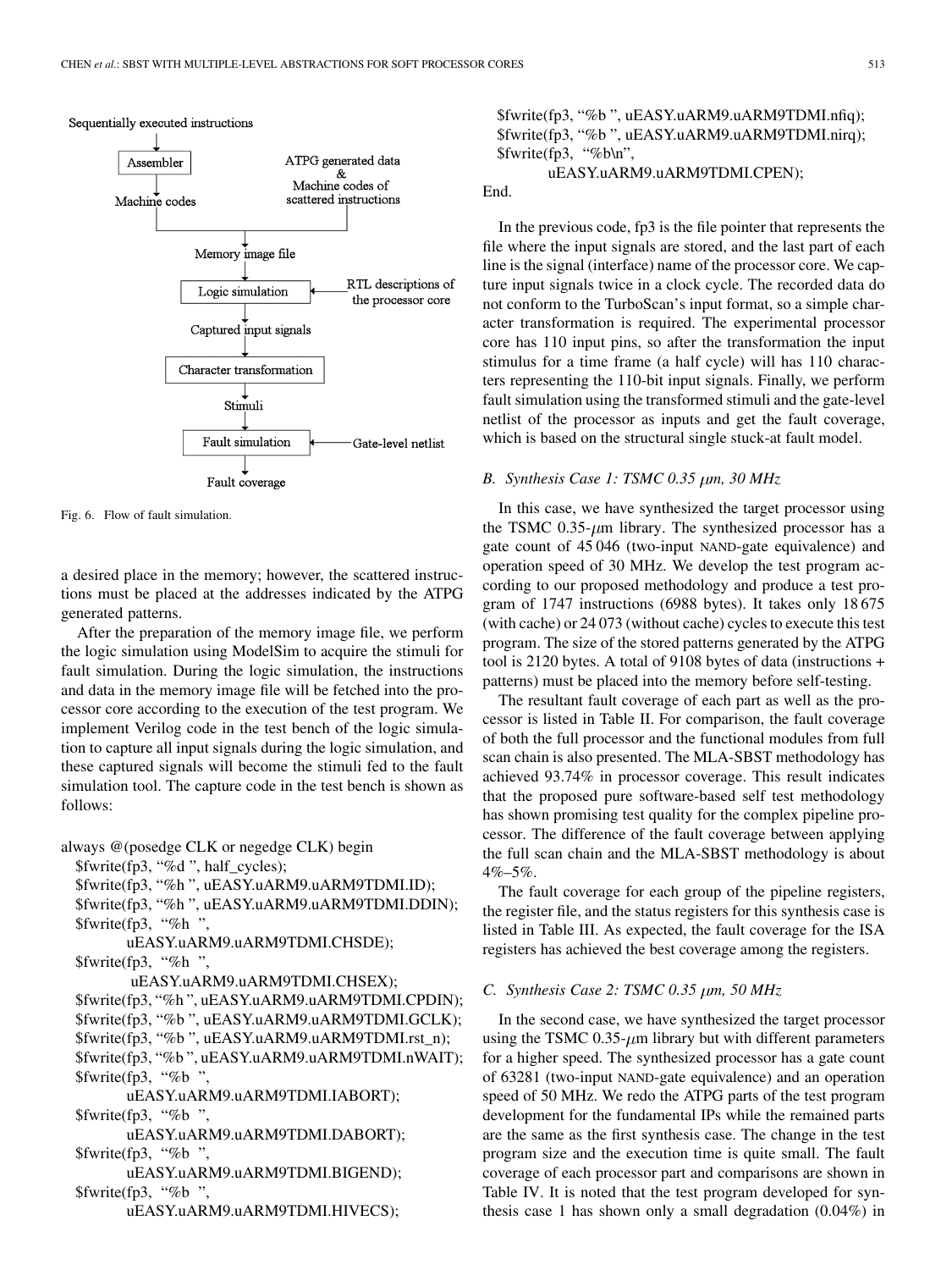

Fig. 6. Flow of fault simulation.

a desired place in the memory; however, the scattered instructions must be placed at the addresses indicated by the ATPG generated patterns.

After the preparation of the memory image file, we perform the logic simulation using ModelSim to acquire the stimuli for fault simulation. During the logic simulation, the instructions and data in the memory image file will be fetched into the processor core according to the execution of the test program. We implement Verilog code in the test bench of the logic simulation to capture all input signals during the logic simulation, and these captured signals will become the stimuli fed to the fault simulation tool. The capture code in the test bench is shown as follows:

always @(posedge CLK or negedge CLK) begin

```
$fwrite(fp3, "%d ", half_cycles);
```
\$fwrite(fp3, "%h ", uEASY.uARM9.uARM9TDMI.ID); \$fwrite(fp3, "%h ", uEASY.uARM9.uARM9TDMI.DDIN);

```
$fwrite(fp3, "%h ",
```
uEASY.uARM9.uARM9TDMI.CHSDE);

\$fwrite(fp3, "%h ",

uEASY.uARM9.uARM9TDMI.CHSEX);

\$fwrite(fp3, "%h ", uEASY.uARM9.uARM9TDMI.CPDIN); \$fwrite(fp3, "%b ", uEASY.uARM9.uARM9TDMI.GCLK); \$fwrite(fp3, "%b ", uEASY.uARM9.uARM9TDMI.rst\_n); \$fwrite(fp3, "%b ", uEASY.uARM9.uARM9TDMI.nWAIT); \$fwrite(fp3, "%b ",

uEASY.uARM9.uARM9TDMI.IABORT); \$fwrite(fp3, "%b ",

uEASY.uARM9.uARM9TDMI.DABORT); \$fwrite(fp3, "%b ",

uEASY.uARM9.uARM9TDMI.BIGEND); \$fwrite(fp3, "%b ",

uEASY.uARM9.uARM9TDMI.HIVECS);

```
$fwrite(fp3, "%b ", uEASY.uARM9.uARM9TDMI.nfiq);
$fwrite(fp3, "%b ", uEASY.uARM9.uARM9TDMI.nirq);
$fwrite(fp3, "%b\n",
```
uEASY.uARM9.uARM9TDMI.CPEN); End.

In the previous code, fp3 is the file pointer that represents the file where the input signals are stored, and the last part of each line is the signal (interface) name of the processor core. We capture input signals twice in a clock cycle. The recorded data do not conform to the TurboScan's input format, so a simple character transformation is required. The experimental processor core has 110 input pins, so after the transformation the input stimulus for a time frame (a half cycle) will has 110 characters representing the 110-bit input signals. Finally, we perform fault simulation using the transformed stimuli and the gate-level netlist of the processor as inputs and get the fault coverage, which is based on the structural single stuck-at fault model.

## *B. Synthesis Case 1: TSMC 0.35 m, 30 MHz*

In this case, we have synthesized the target processor using the TSMC 0.35- $\mu$ m library. The synthesized processor has a gate count of 45 046 (two-input NAND-gate equivalence) and operation speed of 30 MHz. We develop the test program according to our proposed methodology and produce a test program of 1747 instructions (6988 bytes). It takes only 18 675 (with cache) or 24 073 (without cache) cycles to execute this test program. The size of the stored patterns generated by the ATPG tool is 2120 bytes. A total of 9108 bytes of data (instructions + patterns) must be placed into the memory before self-testing.

The resultant fault coverage of each part as well as the processor is listed in Table II. For comparison, the fault coverage of both the full processor and the functional modules from full scan chain is also presented. The MLA-SBST methodology has achieved 93.74% in processor coverage. This result indicates that the proposed pure software-based self test methodology has shown promising test quality for the complex pipeline processor. The difference of the fault coverage between applying the full scan chain and the MLA-SBST methodology is about 4%–5%.

The fault coverage for each group of the pipeline registers, the register file, and the status registers for this synthesis case is listed in Table III. As expected, the fault coverage for the ISA registers has achieved the best coverage among the registers.

## *C. Synthesis Case 2: TSMC 0.35 m, 50 MHz*

In the second case, we have synthesized the target processor using the TSMC  $0.35$ - $\mu$ m library but with different parameters for a higher speed. The synthesized processor has a gate count of 63281 (two-input NAND-gate equivalence) and an operation speed of 50 MHz. We redo the ATPG parts of the test program development for the fundamental IPs while the remained parts are the same as the first synthesis case. The change in the test program size and the execution time is quite small. The fault coverage of each processor part and comparisons are shown in Table IV. It is noted that the test program developed for synthesis case 1 has shown only a small degradation (0.04%) in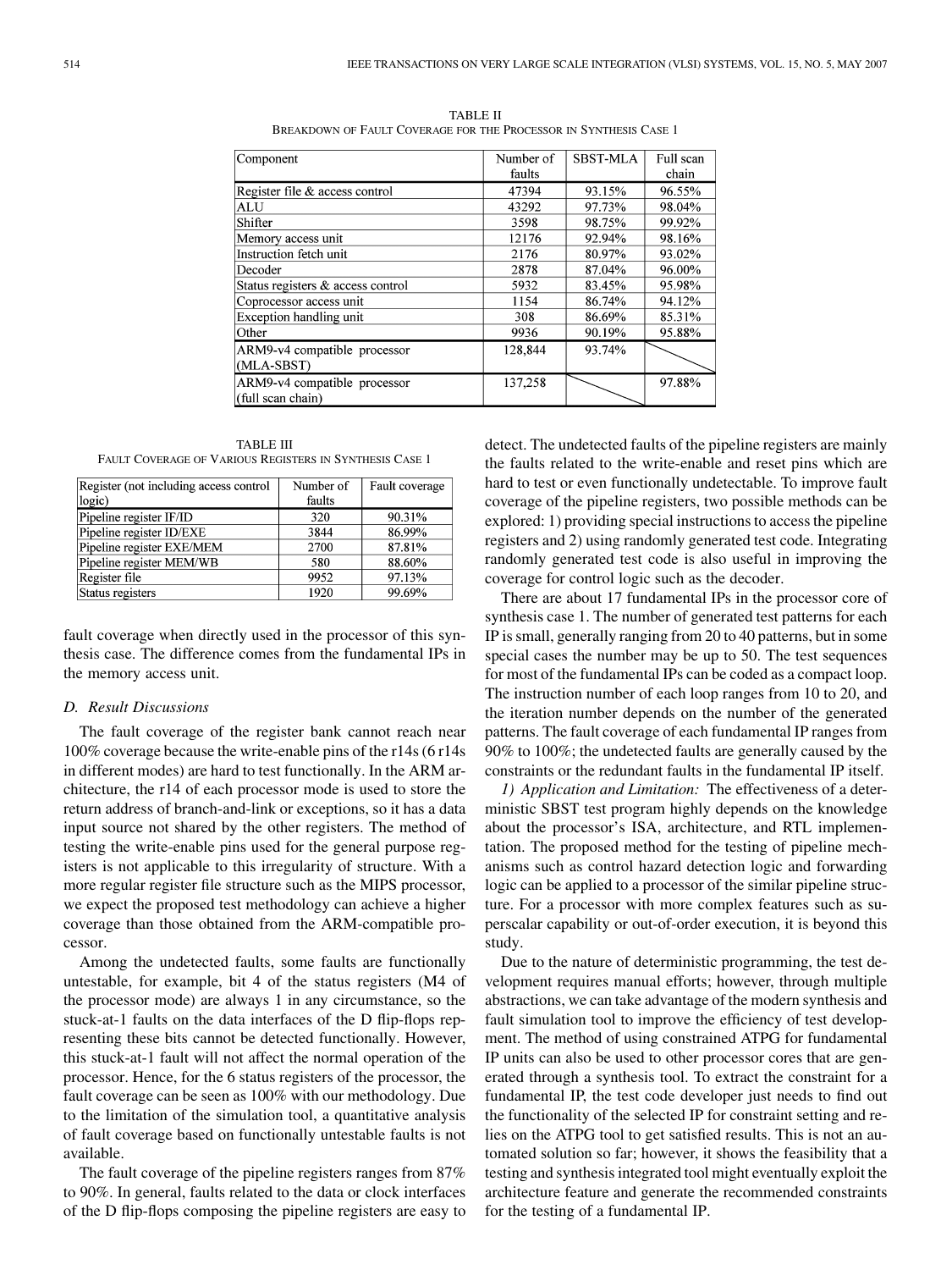| Component                         | Number of | <b>SBST-MLA</b> | Full scan |
|-----------------------------------|-----------|-----------------|-----------|
|                                   | faults    |                 | chain     |
| Register file & access control    | 47394     | 93.15%          | 96.55%    |
| ALU                               | 43292     | 97.73%          | 98.04%    |
| Shifter                           | 3598      | 98.75%          | 99.92%    |
| Memory access unit                | 12176     | 92.94%          | 98.16%    |
| Instruction fetch unit            | 2176      | 80.97%          | 93.02%    |
| Decoder                           | 2878      | 87.04%          | 96.00%    |
| Status registers & access control | 5932      | 83.45%          | 95.98%    |
| Coprocessor access unit           | 1154      | 86.74%          | 94.12%    |
| <b>Exception handling unit</b>    | 308       | 86.69%          | 85.31%    |
| Other                             | 9936      | 90.19%          | 95.88%    |
| ARM9-v4 compatible processor      | 128,844   | 93.74%          |           |
| (MLA-SBST)                        |           |                 |           |
| ARM9-v4 compatible processor      | 137,258   |                 | 97.88%    |
| (full scan chain)                 |           |                 |           |

TABLE II BREAKDOWN OF FAULT COVERAGE FOR THE PROCESSOR IN SYNTHESIS CASE 1

| <b>TABLE III</b>                                        |  |
|---------------------------------------------------------|--|
| FAULT COVERAGE OF VARIOUS REGISTERS IN SYNTHESIS CASE 1 |  |

| Register (not including access control | Number of | Fault coverage |
|----------------------------------------|-----------|----------------|
| logic)                                 | faults    |                |
| Pipeline register IF/ID                | 320       | 90.31%         |
| Pipeline register ID/EXE               | 3844      | 86.99%         |
| Pipeline register EXE/MEM              | 2700      | 87.81%         |
| Pipeline register MEM/WB               | 580       | 88.60%         |
| Register file                          | 9952      | 97.13%         |
| Status registers                       | 1920      | 99.69%         |

fault coverage when directly used in the processor of this synthesis case. The difference comes from the fundamental IPs in the memory access unit.

# *D. Result Discussions*

The fault coverage of the register bank cannot reach near 100% coverage because the write-enable pins of the r14s (6 r14s in different modes) are hard to test functionally. In the ARM architecture, the r14 of each processor mode is used to store the return address of branch-and-link or exceptions, so it has a data input source not shared by the other registers. The method of testing the write-enable pins used for the general purpose registers is not applicable to this irregularity of structure. With a more regular register file structure such as the MIPS processor, we expect the proposed test methodology can achieve a higher coverage than those obtained from the ARM-compatible processor.

Among the undetected faults, some faults are functionally untestable, for example, bit 4 of the status registers (M4 of the processor mode) are always 1 in any circumstance, so the stuck-at-1 faults on the data interfaces of the D flip-flops representing these bits cannot be detected functionally. However, this stuck-at-1 fault will not affect the normal operation of the processor. Hence, for the 6 status registers of the processor, the fault coverage can be seen as 100% with our methodology. Due to the limitation of the simulation tool, a quantitative analysis of fault coverage based on functionally untestable faults is not available.

The fault coverage of the pipeline registers ranges from 87% to 90%. In general, faults related to the data or clock interfaces of the D flip-flops composing the pipeline registers are easy to detect. The undetected faults of the pipeline registers are mainly the faults related to the write-enable and reset pins which are hard to test or even functionally undetectable. To improve fault coverage of the pipeline registers, two possible methods can be explored: 1) providing special instructions to access the pipeline registers and 2) using randomly generated test code. Integrating randomly generated test code is also useful in improving the coverage for control logic such as the decoder.

There are about 17 fundamental IPs in the processor core of synthesis case 1. The number of generated test patterns for each IP is small, generally ranging from 20 to 40 patterns, but in some special cases the number may be up to 50. The test sequences for most of the fundamental IPs can be coded as a compact loop. The instruction number of each loop ranges from 10 to 20, and the iteration number depends on the number of the generated patterns. The fault coverage of each fundamental IP ranges from 90% to 100%; the undetected faults are generally caused by the constraints or the redundant faults in the fundamental IP itself.

*1) Application and Limitation:* The effectiveness of a deterministic SBST test program highly depends on the knowledge about the processor's ISA, architecture, and RTL implementation. The proposed method for the testing of pipeline mechanisms such as control hazard detection logic and forwarding logic can be applied to a processor of the similar pipeline structure. For a processor with more complex features such as superscalar capability or out-of-order execution, it is beyond this study.

Due to the nature of deterministic programming, the test development requires manual efforts; however, through multiple abstractions, we can take advantage of the modern synthesis and fault simulation tool to improve the efficiency of test development. The method of using constrained ATPG for fundamental IP units can also be used to other processor cores that are generated through a synthesis tool. To extract the constraint for a fundamental IP, the test code developer just needs to find out the functionality of the selected IP for constraint setting and relies on the ATPG tool to get satisfied results. This is not an automated solution so far; however, it shows the feasibility that a testing and synthesis integrated tool might eventually exploit the architecture feature and generate the recommended constraints for the testing of a fundamental IP.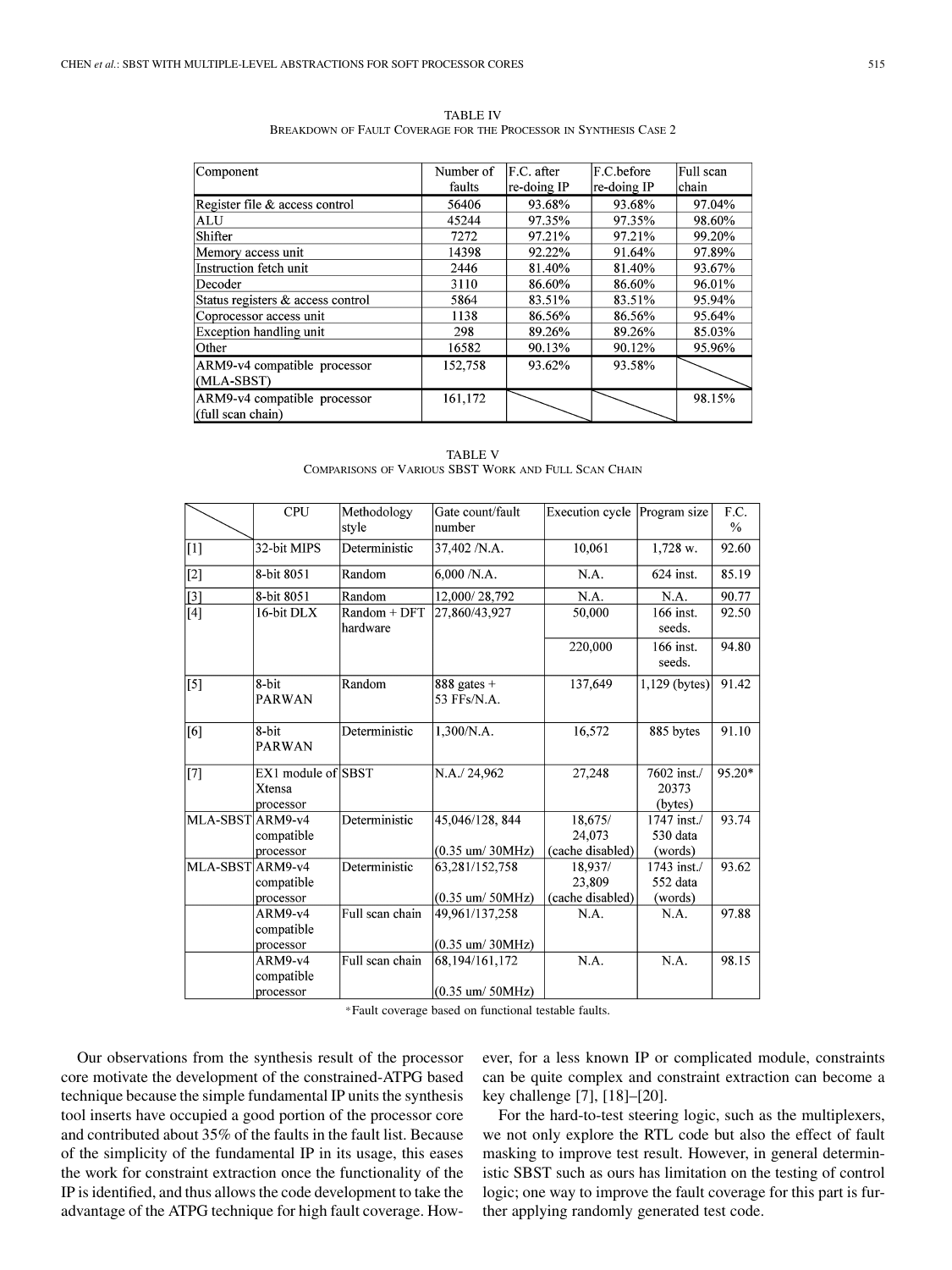| Component                         | Number of<br>faults | $ F.C.$ after<br>re-doing IP | F.C.before<br>re-doing IP | Full scan<br>chain |
|-----------------------------------|---------------------|------------------------------|---------------------------|--------------------|
|                                   |                     |                              |                           |                    |
| Register file & access control    | 56406               | 93.68%                       | 93.68%                    | 97.04%             |
| <b>ALU</b>                        | 45244               | 97.35%                       | 97.35%                    | 98.60%             |
| Shifter                           | 7272                | 97.21%                       | 97.21%                    | 99.20%             |
| Memory access unit                | 14398               | 92.22%                       | 91.64%                    | 97.89%             |
| Instruction fetch unit            | 2446                | 81.40%                       | 81.40%                    | 93.67%             |
| Decoder                           | 3110                | 86.60%                       | 86.60%                    | 96.01%             |
| Status registers & access control | 5864                | 83.51%                       | 83.51%                    | 95.94%             |
| Coprocessor access unit           | 1138                | 86.56%                       | 86.56%                    | 95.64%             |
| Exception handling unit           | 298                 | 89.26%                       | 89.26%                    | 85.03%             |
| Other                             | 16582               | 90.13%                       | 90.12%                    | 95.96%             |
| ARM9-v4 compatible processor      | 152,758             | 93.62%                       | 93.58%                    |                    |
| (MLA-SBST)                        |                     |                              |                           |                    |
| ARM9-v4 compatible processor      | 161,172             |                              |                           | 98.15%             |
| (full scan chain)                 |                     |                              |                           |                    |

TABLE IV BREAKDOWN OF FAULT COVERAGE FOR THE PROCESSOR IN SYNTHESIS CASE 2

TABLE V COMPARISONS OF VARIOUS SBST WORK AND FULL SCAN CHAIN

|                  | <b>CPU</b>                                | Methodology<br>style     | Gate count/fault<br>number                              | Execution cycle                       | Program size                       | $\overline{F.C.}$<br>$\frac{0}{0}$ |
|------------------|-------------------------------------------|--------------------------|---------------------------------------------------------|---------------------------------------|------------------------------------|------------------------------------|
| $[1]$            | 32-bit MIPS                               | Deterministic            | 37,402 /N.A.                                            | 10.061                                | 1,728 w.                           | 92.60                              |
| $\boxed{2}$      | 8-bit 8051                                | Random                   | 6,000 /N.A.                                             | N.A.                                  | 624 inst.                          | 85.19                              |
| $[3]$            | 8-bit 8051                                | Random                   | 12,000/28,792                                           | N.A.                                  | N.A.                               | 90.77                              |
| $[4]$            | 16-bit DLX                                | Random + DFT<br>hardware | 27,860/43,927                                           | 50,000                                | 166 inst.<br>seeds.                | 92.50                              |
|                  |                                           |                          |                                                         | 220,000                               | 166 inst.<br>seeds.                | 94.80                              |
| $[5]$            | 8 bit<br><b>PARWAN</b>                    | Random                   | 888 gates $+$<br>53 FFs/N.A.                            | 137,649                               | $1,129$ (bytes)                    | 91.42                              |
| [6]              | 8-bit<br><b>PARWAN</b>                    | Deterministic            | 1.300/N.A.                                              | 16,572                                | 885 bytes                          | 91.10                              |
| $\overline{[7]}$ | EX1 module of SBST<br>Xtensa<br>processor |                          | N.A./24,962                                             | 27,248                                | 7602 inst./<br>20373<br>(bytes)    | 95.20*                             |
| MLA-SBST ARM9-v4 | compatible<br>processor                   | Deterministic            | 45,046/128, 844<br>$(0.35 \text{ um} / 30 \text{ MHz})$ | 18,675/<br>24.073<br>(cache disabled) | 1747 inst./<br>530 data<br>(words) | 93.74                              |
| MLA-SBST ARM9-v4 | compatible<br>processor                   | Deterministic            | 63,281/152,758<br>$(0.35 \text{ um} / 50 \text{ MHz})$  | 18,937/<br>23,809<br>(cache disabled) | 1743 inst./<br>552 data<br>(words) | 93.62                              |
|                  | ARM9-v4<br>compatible<br>processor        | Full scan chain          | 49,961/137,258<br>$(0.35 \text{ um} / 30 \text{ MHz})$  | N.A.                                  | N.A.                               | 97.88                              |
|                  | ARM9-v4<br>compatible<br>processor        | Full scan chain          | 68,194/161,172<br>$(0.35 \text{ um} / 50 \text{ MHz})$  | N.A.                                  | N.A.                               | 98.15                              |

Fault coverage based on functional testable faults.

Our observations from the synthesis result of the processor core motivate the development of the constrained-ATPG based technique because the simple fundamental IP units the synthesis tool inserts have occupied a good portion of the processor core and contributed about 35% of the faults in the fault list. Because of the simplicity of the fundamental IP in its usage, this eases the work for constraint extraction once the functionality of the IP is identified, and thus allows the code development to take the advantage of the ATPG technique for high fault coverage. However, for a less known IP or complicated module, constraints can be quite complex and constraint extraction can become a key challenge [7], [18]–[20].

For the hard-to-test steering logic, such as the multiplexers, we not only explore the RTL code but also the effect of fault masking to improve test result. However, in general deterministic SBST such as ours has limitation on the testing of control logic; one way to improve the fault coverage for this part is further applying randomly generated test code.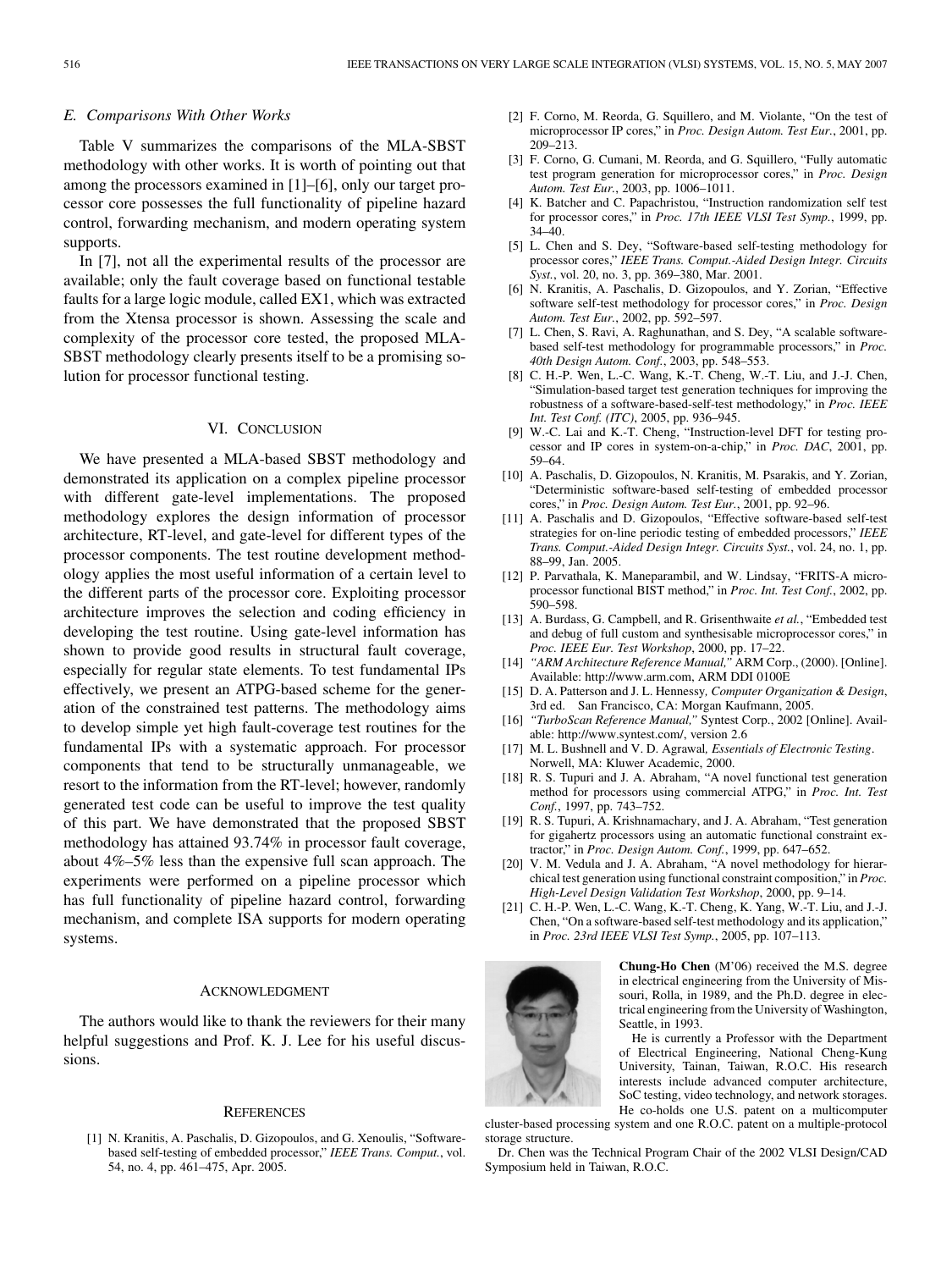# *E. Comparisons With Other Works*

Table V summarizes the comparisons of the MLA-SBST methodology with other works. It is worth of pointing out that among the processors examined in [1]–[6], only our target processor core possesses the full functionality of pipeline hazard control, forwarding mechanism, and modern operating system supports.

In [7], not all the experimental results of the processor are available; only the fault coverage based on functional testable faults for a large logic module, called EX1, which was extracted from the Xtensa processor is shown. Assessing the scale and complexity of the processor core tested, the proposed MLA-SBST methodology clearly presents itself to be a promising solution for processor functional testing.

# VI. CONCLUSION

We have presented a MLA-based SBST methodology and demonstrated its application on a complex pipeline processor with different gate-level implementations. The proposed methodology explores the design information of processor architecture, RT-level, and gate-level for different types of the processor components. The test routine development methodology applies the most useful information of a certain level to the different parts of the processor core. Exploiting processor architecture improves the selection and coding efficiency in developing the test routine. Using gate-level information has shown to provide good results in structural fault coverage, especially for regular state elements. To test fundamental IPs effectively, we present an ATPG-based scheme for the generation of the constrained test patterns. The methodology aims to develop simple yet high fault-coverage test routines for the fundamental IPs with a systematic approach. For processor components that tend to be structurally unmanageable, we resort to the information from the RT-level; however, randomly generated test code can be useful to improve the test quality of this part. We have demonstrated that the proposed SBST methodology has attained 93.74% in processor fault coverage, about 4%–5% less than the expensive full scan approach. The experiments were performed on a pipeline processor which has full functionality of pipeline hazard control, forwarding mechanism, and complete ISA supports for modern operating systems.

#### ACKNOWLEDGMENT

The authors would like to thank the reviewers for their many helpful suggestions and Prof. K. J. Lee for his useful discussions.

#### **REFERENCES**

[1] N. Kranitis, A. Paschalis, D. Gizopoulos, and G. Xenoulis, "Softwarebased self-testing of embedded processor," *IEEE Trans. Comput.*, vol. 54, no. 4, pp. 461–475, Apr. 2005.

- [2] F. Corno, M. Reorda, G. Squillero, and M. Violante, "On the test of microprocessor IP cores," in *Proc. Design Autom. Test Eur.*, 2001, pp. 209–213.
- [3] F. Corno, G. Cumani, M. Reorda, and G. Squillero, "Fully automatic test program generation for microprocessor cores," in *Proc. Design Autom. Test Eur.*, 2003, pp. 1006–1011.
- [4] K. Batcher and C. Papachristou, "Instruction randomization self test for processor cores," in *Proc. 17th IEEE VLSI Test Symp.*, 1999, pp. 34–40.
- [5] L. Chen and S. Dey, "Software-based self-testing methodology for processor cores," *IEEE Trans. Comput.-Aided Design Integr. Circuits Syst.*, vol. 20, no. 3, pp. 369–380, Mar. 2001.
- [6] N. Kranitis, A. Paschalis, D. Gizopoulos, and Y. Zorian, "Effective software self-test methodology for processor cores," in *Proc. Design Autom. Test Eur.*, 2002, pp. 592–597.
- [7] L. Chen, S. Ravi, A. Raghunathan, and S. Dey, "A scalable softwarebased self-test methodology for programmable processors," in *Proc. 40th Design Autom. Conf.*, 2003, pp. 548–553.
- [8] C. H.-P. Wen, L.-C. Wang, K.-T. Cheng, W.-T. Liu, and J.-J. Chen, "Simulation-based target test generation techniques for improving the robustness of a software-based-self-test methodology," in *Proc. IEEE Int. Test Conf. (ITC)*, 2005, pp. 936–945.
- [9] W.-C. Lai and K.-T. Cheng, "Instruction-level DFT for testing processor and IP cores in system-on-a-chip," in *Proc. DAC*, 2001, pp. 59–64.
- [10] A. Paschalis, D. Gizopoulos, N. Kranitis, M. Psarakis, and Y. Zorian, "Deterministic software-based self-testing of embedded processor cores," in *Proc. Design Autom. Test Eur.*, 2001, pp. 92–96.
- [11] A. Paschalis and D. Gizopoulos, "Effective software-based self-test strategies for on-line periodic testing of embedded processors," *IEEE Trans. Comput.-Aided Design Integr. Circuits Syst.*, vol. 24, no. 1, pp. 88–99, Jan. 2005.
- [12] P. Parvathala, K. Maneparambil, and W. Lindsay, "FRITS-A microprocessor functional BIST method," in *Proc. Int. Test Conf.*, 2002, pp. 590–598.
- [13] A. Burdass, G. Campbell, and R. Grisenthwaite *et al.*, "Embedded test and debug of full custom and synthesisable microprocessor cores," in *Proc. IEEE Eur. Test Workshop*, 2000, pp. 17–22.
- [14] *"ARM Architecture Reference Manual,"* ARM Corp., (2000). [Online]. Available: http://www.arm.com, ARM DDI 0100E
- [15] D. A. Patterson and J. L. Hennessy*, Computer Organization & Design*, 3rd ed. San Francisco, CA: Morgan Kaufmann, 2005.
- [16] *"TurboScan Reference Manual,"* Syntest Corp., 2002 [Online]. Available: http://www.syntest.com/, version 2.6
- [17] M. L. Bushnell and V. D. Agrawal*, Essentials of Electronic Testing*. Norwell, MA: Kluwer Academic, 2000.
- [18] R. S. Tupuri and J. A. Abraham, "A novel functional test generation method for processors using commercial ATPG," in *Proc. Int. Test Conf.*, 1997, pp. 743–752.
- [19] R. S. Tupuri, A. Krishnamachary, and J. A. Abraham, "Test generation for gigahertz processors using an automatic functional constraint extractor," in *Proc. Design Autom. Conf.*, 1999, pp. 647–652.
- [20] V. M. Vedula and J. A. Abraham, "A novel methodology for hierarchical test generation using functional constraint composition," in *Proc. High-Level Design Validation Test Workshop*, 2000, pp. 9–14.
- [21] C. H.-P. Wen, L.-C. Wang, K.-T. Cheng, K. Yang, W.-T. Liu, and J.-J. Chen, "On a software-based self-test methodology and its application," in *Proc. 23rd IEEE VLSI Test Symp.*, 2005, pp. 107–113.



**Chung-Ho Chen** (M'06) received the M.S. degree in electrical engineering from the University of Missouri, Rolla, in 1989, and the Ph.D. degree in electrical engineering from the University of Washington, Seattle, in 1993.

He is currently a Professor with the Department of Electrical Engineering, National Cheng-Kung University, Tainan, Taiwan, R.O.C. His research interests include advanced computer architecture, SoC testing, video technology, and network storages. He co-holds one U.S. patent on a multicomputer

cluster-based processing system and one R.O.C. patent on a multiple-protocol storage structure.

Dr. Chen was the Technical Program Chair of the 2002 VLSI Design/CAD Symposium held in Taiwan, R.O.C.